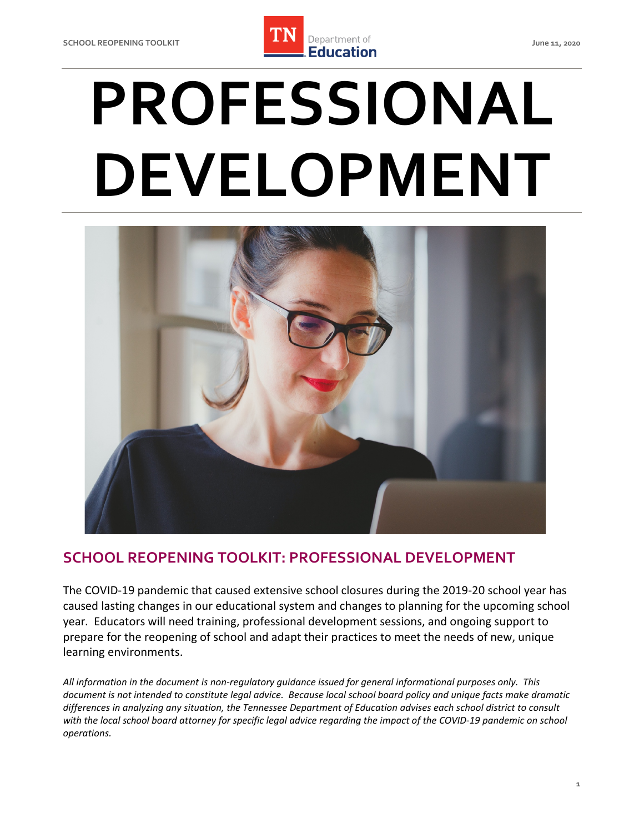

# **PROFESSIONAL DEVELOPMENT**



## **SCHOOL REOPENING TOOLKIT: PROFESSIONAL DEVELOPMENT**

 The COVID-19 pandemic that caused extensive school closures during the 2019-20 school year has caused lasting changes in our educational system and changes to planning for the upcoming school year. Educators will need training, professional development sessions, and ongoing support to prepare for the reopening of school and adapt their practices to meet the needs of new, unique learning environments.

 *document is not intended to constitute legal advice. Because local school board policy and unique facts make dramatic differences in analyzing any situation, the Tennessee Department of Education advises each school district to consult with the local school board attorney for specific legal advice regarding the impact of the COVID-19 pandemic on school operations. All information in the document is non-regulatory guidance issued for general informational purposes only. This*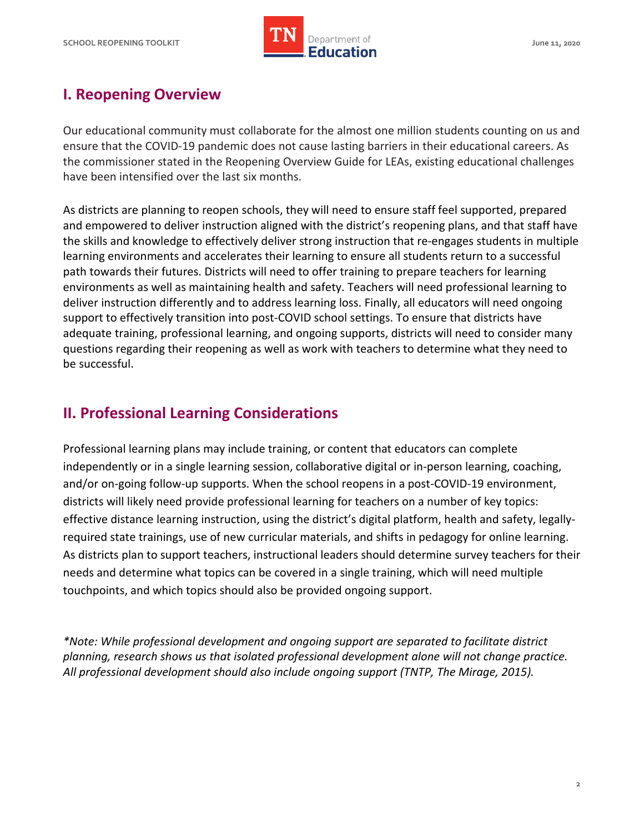

# **I. Reopening Overview**

 Our educational community must collaborate for the almost one million students counting on us and ensure that the COVID-19 pandemic does not cause lasting barriers in their educational careers. As the commissioner stated in the Reopening Overview Guide for LEAs, existing educational challenges have been intensified over the last six months.

 As districts are planning to reopen schools, they will need to ensure staff feel supported, prepared and empowered to deliver instruction aligned with the district's reopening plans, and that staff have the skills and knowledge to effectively deliver strong instruction that re-engages students in multiple learning environments and accelerates their learning to ensure all students return to a successful path towards their futures. Districts will need to offer training to prepare teachers for learning environments as well as maintaining health and safety. Teachers will need professional learning to deliver instruction differently and to address learning loss. Finally, all educators will need ongoing support to effectively transition into post-COVID school settings. To ensure that districts have adequate training, professional learning, and ongoing supports, districts will need to consider many questions regarding their reopening as well as work with teachers to determine what they need to be successful.

# **II. Professional Learning Considerations**

 Professional learning plans may include training, or content that educators can complete independently or in a single learning session, collaborative digital or in-person learning, coaching, and/or on-going follow-up supports. When the school reopens in a post-COVID-19 environment, districts will likely need provide professional learning for teachers on a number of key topics: effective distance learning instruction, using the district's digital platform, health and safety, legally- required state trainings, use of new curricular materials, and shifts in pedagogy for online learning. As districts plan to support teachers, instructional leaders should determine survey teachers for their needs and determine what topics can be covered in a single training, which will need multiple touchpoints, and which topics should also be provided ongoing support.

 *\*Note: While professional development and ongoing support are separated to facilitate district planning, research shows us that isolated professional development alone will not change practice. All professional development should also include ongoing support (TNTP, The Mirage, 2015).*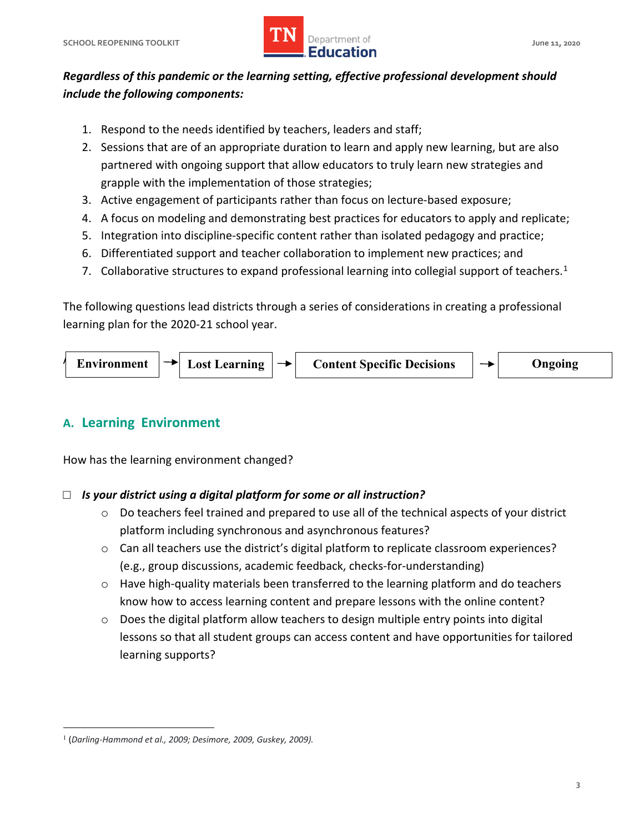

## *Regardless of this pandemic or the learning setting, effective professional development should include the following components:*

- 1. Respond to the needs identified by teachers, leaders and staff;
- 2. Sessions that are of an appropriate duration to learn and apply new learning, but are also partnered with ongoing support that allow educators to truly learn new strategies and grapple with the implementation of those strategies;
- 3. Active engagement of participants rather than focus on lecture-based exposure;
- 4. A focus on modeling and demonstrating best practices for educators to apply and replicate;
- 5. Integration into discipline-specific content rather than isolated pedagogy and practice;
- 6. Differentiated support and teacher collaboration to implement new practices; and
- 7. Collaborative structures to expand professional learning into collegial support of teachers.<sup>1</sup>

 The following questions lead districts through a series of considerations in creating a professional learning plan for the 2020-21 school year.



## **A. Learning Environment**

How has the learning environment changed?

#### □ *Is your district using a digital platform for some or all instruction?*

- $\circ$  Do teachers feel trained and prepared to use all of the technical aspects of your district platform including synchronous and asynchronous features?
- (e.g., group discussions, academic feedback, checks-for-understanding)  $\circ$  Can all teachers use the district's digital platform to replicate classroom experiences?
- o Have high-quality materials been transferred to the learning platform and do teachers know how to access learning content and prepare lessons with the online content?
- o Does the digital platform allow teachers to design multiple entry points into digital lessons so that all student groups can access content and have opportunities for tailored learning supports?

<span id="page-2-0"></span><sup>&</sup>lt;u>.</u> <sup>1</sup>(*Darling-Hammond et al., 2009; Desimore, 2009, Guskey, 2009).*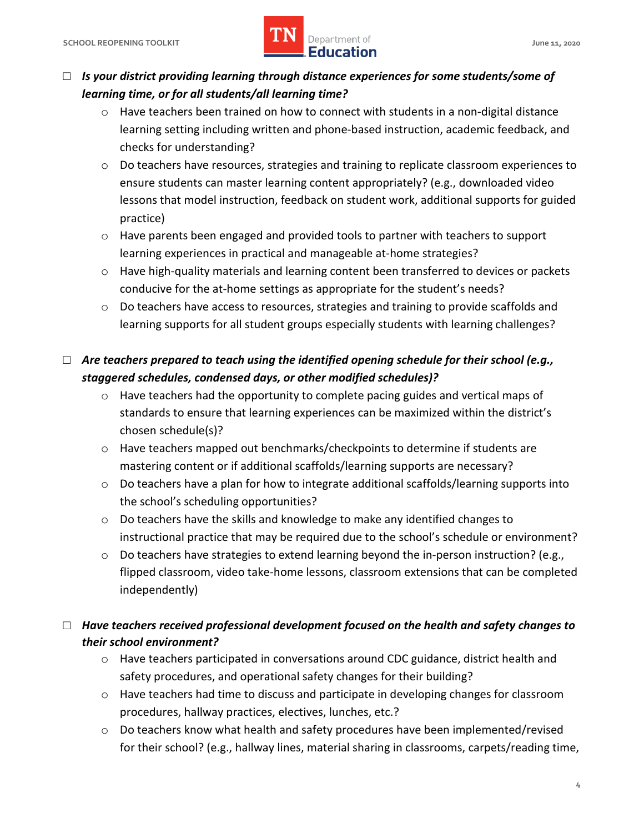## **SCHOOL REOPENING TOOLKIT SCHOOL ASSESSED ASSESSED AT A PROPERTY OF A SERVICE OF A SERVICE OF A SCHOOL AND A June 11, 2020** *LIN* Department of **IMPLE Department of**

## □ *Is your district providing learning through distance experiences for some students/some of learning time, or for all students/all learning time?*

- $\circ$  Have teachers been trained on how to connect with students in a non-digital distance learning setting including written and phone-based instruction, academic feedback, and checks for understanding?
- o Do teachers have resources, strategies and training to replicate classroom experiences to ensure students can master learning content appropriately? (e.g., downloaded video lessons that model instruction, feedback on student work, additional supports for guided practice)
- $\circ$  Have parents been engaged and provided tools to partner with teachers to support learning experiences in practical and manageable at-home strategies?
- conducive for the at-home settings as appropriate for the student's needs? o Have high-quality materials and learning content been transferred to devices or packets
- learning supports for all student groups especially students with learning challenges? o Do teachers have access to resources, strategies and training to provide scaffolds and

## *staggered schedules, condensed days, or other modified schedules)?*  □ Are teachers prepared to teach using the identified opening schedule for their school (e.g.,

- standards to ensure that learning experiences can be maximized within the district's o Have teachers had the opportunity to complete pacing guides and vertical maps of chosen schedule(s)?
- $\circ$  Have teachers mapped out benchmarks/checkpoints to determine if students are mastering content or if additional scaffolds/learning supports are necessary?
- $\circ$  Do teachers have a plan for how to integrate additional scaffolds/learning supports into the school's scheduling opportunities?
- $\circ$  Do teachers have the skills and knowledge to make any identified changes to instructional practice that may be required due to the school's schedule or environment?
- o Do teachers have strategies to extend learning beyond the in-person instruction? (e.g., flipped classroom, video take-home lessons, classroom extensions that can be completed independently)

## □ *Have teachers received professional development focused on the health and safety changes to their school environment?*

- o Have teachers participated in conversations around CDC guidance, district health and safety procedures, and operational safety changes for their building?
- o Have teachers had time to discuss and participate in developing changes for classroom procedures, hallway practices, electives, lunches, etc.?
- $\circ$  Do teachers know what health and safety procedures have been implemented/revised for their school? (e.g., hallway lines, material sharing in classrooms, carpets/reading time,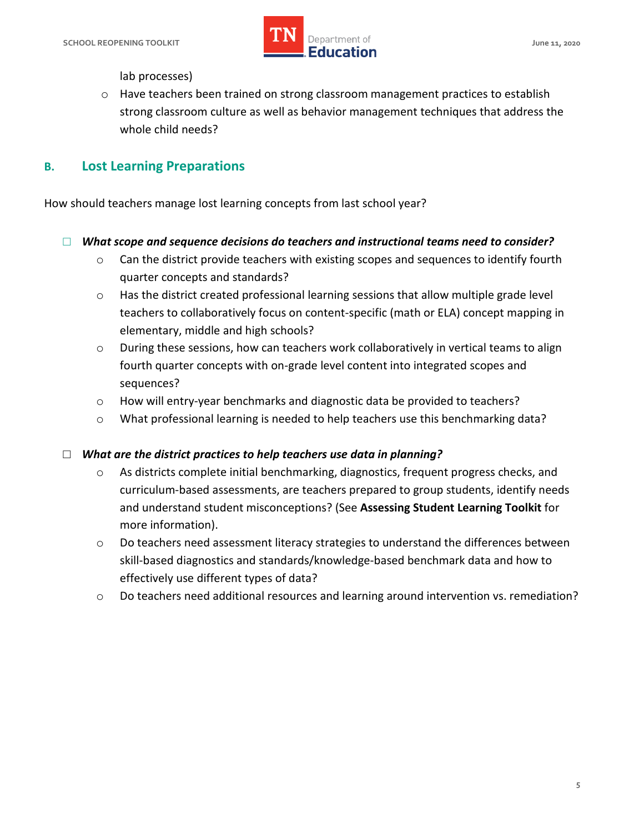

lab processes)

 $\circ$  Have teachers been trained on strong classroom management practices to establish strong classroom culture as well as behavior management techniques that address the whole child needs?

## **B. Lost Learning Preparations**

How should teachers manage lost learning concepts from last school year?

## □ What scope and sequence decisions do teachers and instructional teams need to consider?

- $\circ$  Can the district provide teachers with existing scopes and sequences to identify fourth quarter concepts and standards?
- o Has the district created professional learning sessions that allow multiple grade level teachers to collaboratively focus on content-specific (math or ELA) concept mapping in elementary, middle and high schools?
- $\circ$  During these sessions, how can teachers work collaboratively in vertical teams to align fourth quarter concepts with on-grade level content into integrated scopes and sequences?
- o How will entry-year benchmarks and diagnostic data be provided to teachers?
- o What professional learning is needed to help teachers use this benchmarking data?

#### □ *What are the district practices to help teachers use data in planning?*

- curriculum-based assessments, are teachers prepared to group students, identify needs and understand student misconceptions? (See **Assessing Student Learning Toolkit** for o As districts complete initial benchmarking, diagnostics, frequent progress checks, and more information).
- $\circ$  Do teachers need assessment literacy strategies to understand the differences between skill-based diagnostics and standards/knowledge-based benchmark data and how to effectively use different types of data?
- o Do teachers need additional resources and learning around intervention vs. remediation?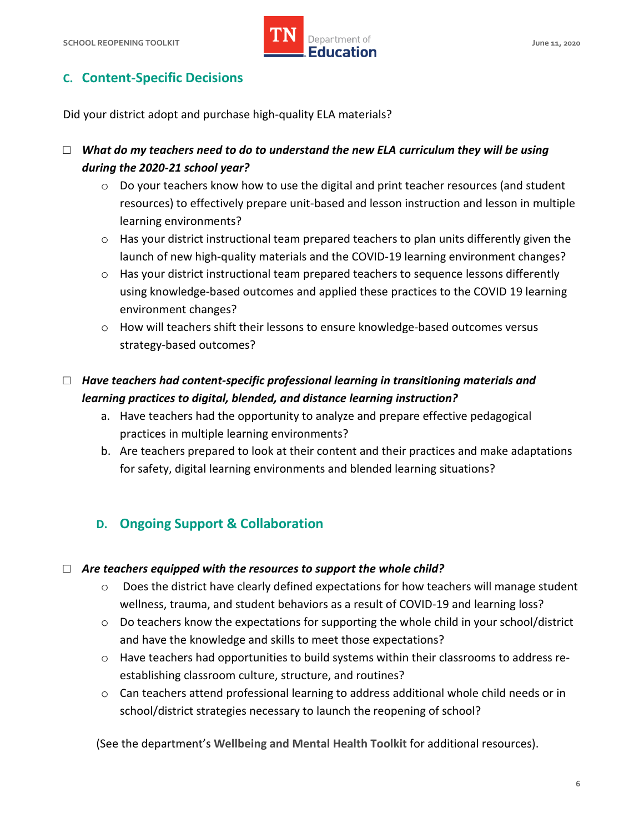

## **C. Content-Specific Decisions**

Did your district adopt and purchase high-quality ELA materials?

## □ What do my teachers need to do to understand the new ELA curriculum they will be using *during the 2020-21 school year?*

- $\circ$  Do your teachers know how to use the digital and print teacher resources (and student resources) to effectively prepare unit-based and lesson instruction and lesson in multiple learning environments?
- o Has your district instructional team prepared teachers to plan units differently given the launch of new high-quality materials and the COVID-19 learning environment changes?
- $\circ$  Has your district instructional team prepared teachers to sequence lessons differently using knowledge-based outcomes and applied these practices to the COVID 19 learning environment changes?
- $\circ$  How will teachers shift their lessons to ensure knowledge-based outcomes versus strategy-based outcomes?

## □ *Have teachers had content-specific professional learning in transitioning materials and learning practices to digital, blended, and distance learning instruction?*

- a. Have teachers had the opportunity to analyze and prepare effective pedagogical practices in multiple learning environments?
- b. Are teachers prepared to look at their content and their practices and make adaptations for safety, digital learning environments and blended learning situations?

## **D. Ongoing Support & Collaboration**

## □ *Are teachers equipped with the resources to support the whole child?*

- o Does the district have clearly defined expectations for how teachers will manage student wellness, trauma, and student behaviors as a result of COVID-19 and learning loss?
- $\circ$  Do teachers know the expectations for supporting the whole child in your school/district and have the knowledge and skills to meet those expectations?
- $\circ$  Have teachers had opportunities to build systems within their classrooms to address reestablishing classroom culture, structure, and routines?
- o Can teachers attend professional learning to address additional whole child needs or in school/district strategies necessary to launch the reopening of school?

(See the department's **Wellbeing and Mental Health Toolkit** for additional resources).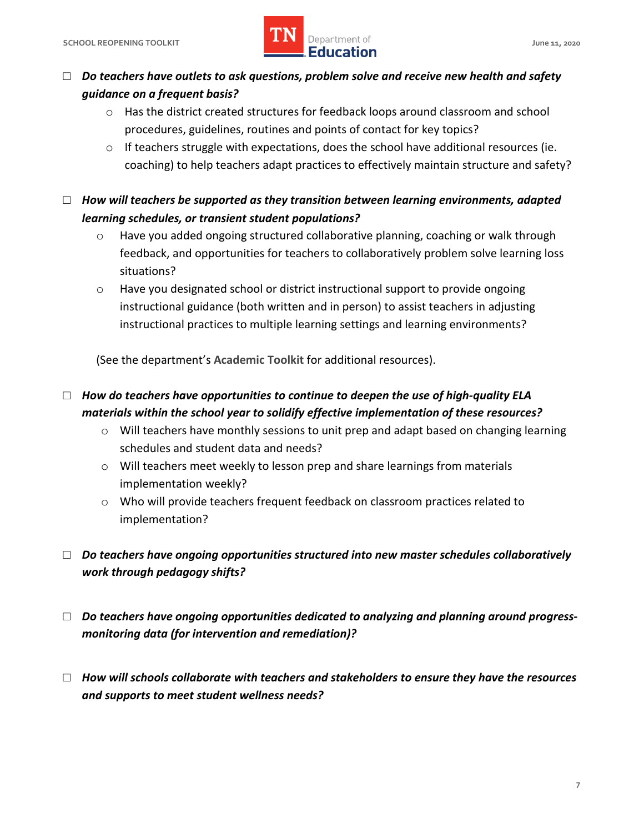

## *guidance on a frequent basis?*  □ *Do teachers have outlets to ask questions, problem solve and receive new health and safety*

- o Has the district created structures for feedback loops around classroom and school procedures, guidelines, routines and points of contact for key topics?
- $\circ$  If teachers struggle with expectations, does the school have additional resources (ie. coaching) to help teachers adapt practices to effectively maintain structure and safety?
- $\Box$   $\;\;$  How will teachers be supported as they transition between learning environments, adapted *learning schedules, or transient student populations?* 
	- $\circ$  Have you added ongoing structured collaborative planning, coaching or walk through feedback, and opportunities for teachers to collaboratively problem solve learning loss situations?
	- $\circ$  Have you designated school or district instructional support to provide ongoing instructional guidance (both written and in person) to assist teachers in adjusting instructional practices to multiple learning settings and learning environments?

(See the department's **Academic Toolkit** for additional resources).

## □ *How do teachers have opportunities to continue to deepen the use of high-quality ELA materials within the school year to solidify effective implementation of these resources?*

- $\circ$  Will teachers have monthly sessions to unit prep and adapt based on changing learning schedules and student data and needs?
- $\circ$  Will teachers meet weekly to lesson prep and share learnings from materials implementation weekly?
- o Who will provide teachers frequent feedback on classroom practices related to implementation?
- □ *Do teachers have ongoing opportunities structured into new master schedules collaboratively work through pedagogy shifts?*
- □ Do teachers have ongoing opportunities dedicated to analyzing and planning around progress*monitoring data (for intervention and remediation)?*
- □ *How will schools collaborate with teachers and stakeholders to ensure they have the resources and supports to meet student wellness needs?*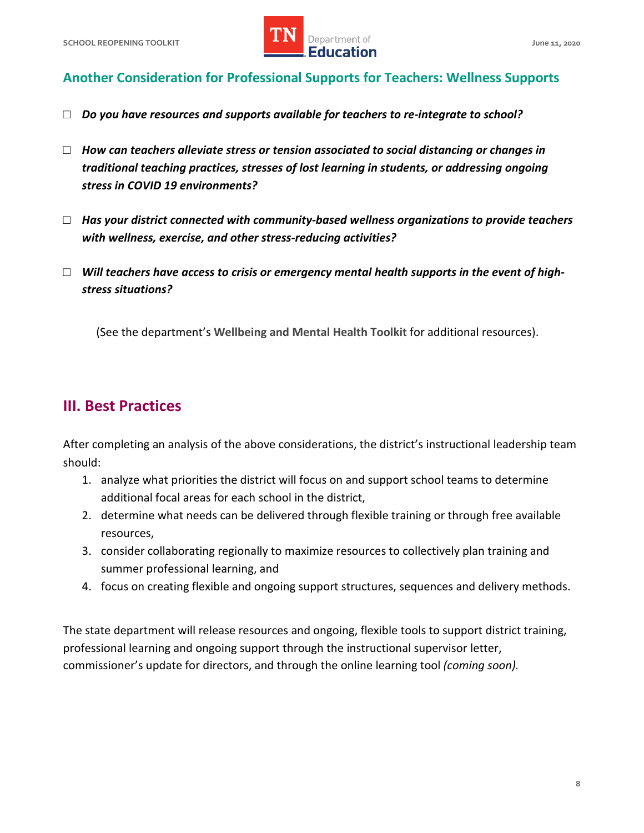

## **Another Consideration for Professional Supports for Teachers: Wellness Supports**

- □ *Do you have resources and supports available for teachers to re-integrate to school?*
- □ *How can teachers alleviate stress or tension associated to social distancing or changes in traditional teaching practices, stresses of lost learning in students, or addressing ongoing stress in COVID 19 environments?*
- □ Has your district connected with community-based wellness organizations to provide teachers *with wellness, exercise, and other stress-reducing activities?*
- *stress situations?* □ *Will teachers have access to crisis or emergency mental health supports in the event of high-*

(See the department's **Wellbeing and Mental Health Toolkit** for additional resources).

## **III. Best Practices**

 After completing an analysis of the above considerations, the district's instructional leadership team should:

- additional focal areas for each school in the district, 1. analyze what priorities the district will focus on and support school teams to determine
- 2. determine what needs can be delivered through flexible training or through free available resources,
- resources,<br>3. consider collaborating regionally to maximize resources to collectively plan training and summer professional learning, and
- 4. focus on creating flexible and ongoing support structures, sequences and delivery methods.

 The state department will release resources and ongoing, flexible tools to support district training, professional learning and ongoing support through the instructional supervisor letter, commissioner's update for directors, and through the online learning tool *(coming soon).*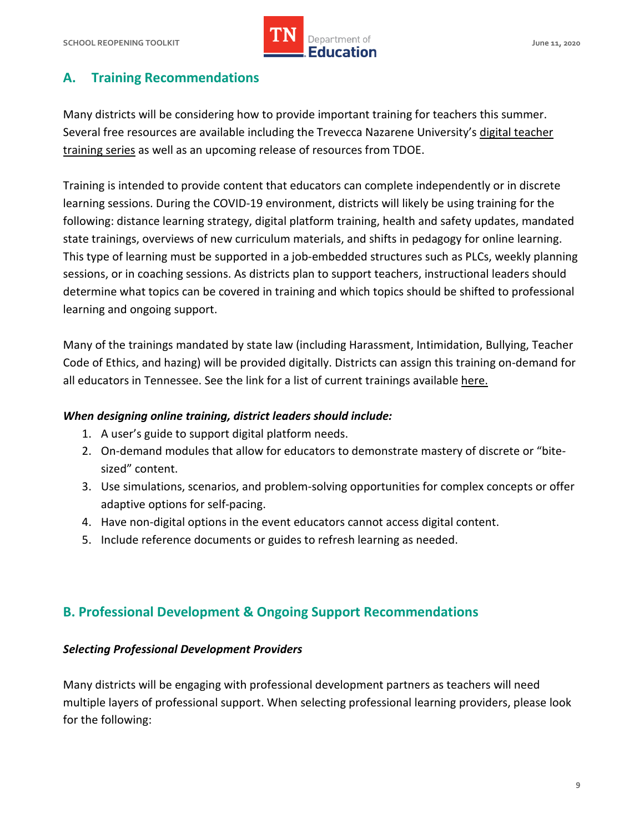

## **A. Training Recommendations**

 Many districts will be considering how to provide important training for teachers this summer. Several free resources are available including the Trevecca Nazarene University's digital teacher [training series](http://www.trevecca.edu/remoteinstruction.) as well as an upcoming release of resources from TDOE.

 Training is intended to provide content that educators can complete independently or in discrete learning sessions. During the COVID-19 environment, districts will likely be using training for the following: distance learning strategy, digital platform training, health and safety updates, mandated state trainings, overviews of new curriculum materials, and shifts in pedagogy for online learning. This type of learning must be supported in a job-embedded structures such as PLCs, weekly planning sessions, or in coaching sessions. As districts plan to support teachers, instructional leaders should determine what topics can be covered in training and which topics should be shifted to professional learning and ongoing support.

 Many of the trainings mandated by state law (including Harassment, Intimidation, Bullying, Teacher Code of Ethics, and hazing) will be provided digitally. Districts can assign this training on-demand for all educators in Tennessee. See the link for a list of current trainings available here.

#### *When designing online training, district leaders should include:*

- 1. A user's guide to support digital platform needs.
- 2. On-demand modules that allow for educators to demonstrate mastery of discrete or "bitesized" content.
- 3. Use simulations, scenarios, and problem-solving opportunities for complex concepts or offer adaptive options for self-pacing.
- 4. Have non-digital options in the event educators cannot access digital content.
- 5. Include reference documents or guides to refresh learning as needed.

## **B. Professional Development & Ongoing Support Recommendations**

#### *Selecting Professional Development Providers*

 Many districts will be engaging with professional development partners as teachers will need multiple layers of professional support. When selecting professional learning providers, please look for the following: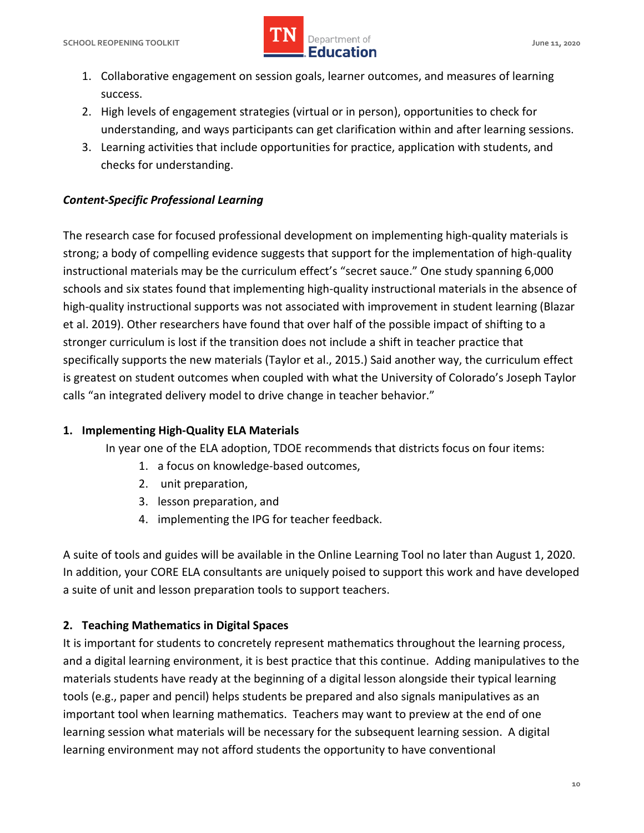

- 1. Collaborative engagement on session goals, learner outcomes, and measures of learning success.
- understanding, and ways participants can get clarification within and after learning sessions. 2. High levels of engagement strategies (virtual or in person), opportunities to check for
- 3. Learning activities that include opportunities for practice, application with students, and checks for understanding.

#### *Content-Specific Professional Learning*

 The research case for focused professional development on implementing high-quality materials is strong; a body of compelling evidence suggests that support for the implementation of high-quality instructional materials may be the curriculum effect's "secret sauce." One study spanning 6,000 schools and six states found that implementing high-quality instructional materials in the absence of high-quality instructional supports was not associated with improvement in student learning (Blazar et al. 2019). Other researchers have found that over half of the possible impact of shifting to a stronger curriculum is lost if the transition does not include a shift in teacher practice that specifically supports the new materials (Taylor et al., 2015.) Said another way, the curriculum effect is greatest on student outcomes when coupled with what the University of Colorado's Joseph Taylor calls "an integrated delivery model to drive change in teacher behavior."

#### **1. Implementing High-Quality ELA Materials**

In year one of the ELA adoption, TDOE recommends that districts focus on four items:

- 1. a focus on knowledge-based outcomes,
- 2. unit preparation,
- 3. lesson preparation, and
- 4. implementing the IPG for teacher feedback.

 A suite of tools and guides will be available in the Online Learning Tool no later than August 1, 2020. In addition, your CORE ELA consultants are uniquely poised to support this work and have developed a suite of unit and lesson preparation tools to support teachers.

#### **2. Teaching Mathematics in Digital Spaces**

 It is important for students to concretely represent mathematics throughout the learning process, and a digital learning environment, it is best practice that this continue. Adding manipulatives to the materials students have ready at the beginning of a digital lesson alongside their typical learning tools (e.g., paper and pencil) helps students be prepared and also signals manipulatives as an important tool when learning mathematics. Teachers may want to preview at the end of one learning session what materials will be necessary for the subsequent learning session. A digital learning environment may not afford students the opportunity to have conventional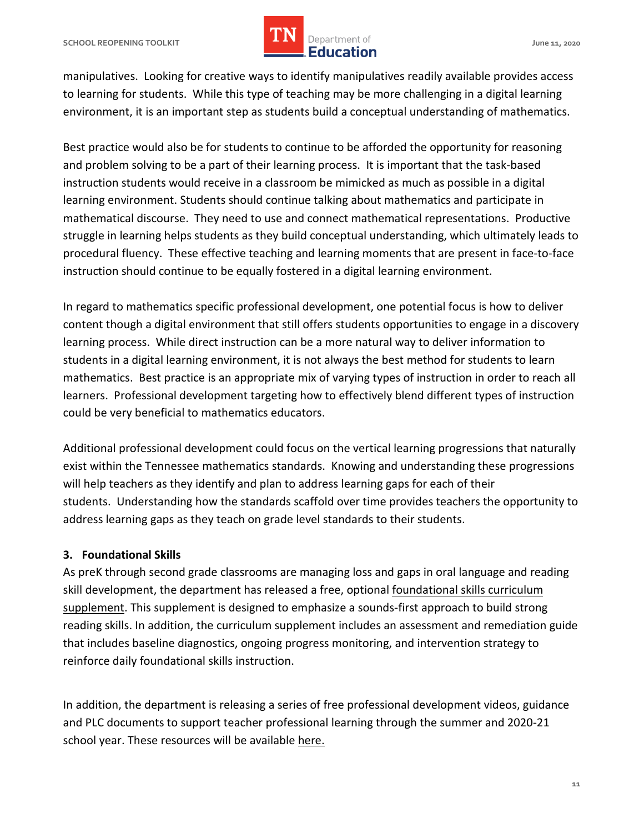# *LIN* Department of **IMPLE Department of**

 manipulatives. Looking for creative ways to identify manipulatives readily available provides access to learning for students. While this type of teaching may be more challenging in a digital learning environment, it is an important step as students build a conceptual understanding of mathematics.

 Best practice would also be for students to continue to be afforded the opportunity for reasoning and problem solving to be a part of their learning process. It is important that the task-based instruction students would receive in a classroom be mimicked as much as possible in a digital learning environment. Students should continue talking about mathematics and participate in mathematical discourse. They need to use and connect mathematical representations. Productive struggle in learning helps students as they build conceptual understanding, which ultimately leads to procedural fluency. These effective teaching and learning moments that are present in face-to-face instruction should continue to be equally fostered in a digital learning environment.

 In regard to mathematics specific professional development, one potential focus is how to deliver content though a digital environment that still offers students opportunities to engage in a discovery learning process. While direct instruction can be a more natural way to deliver information to students in a digital learning environment, it is not always the best method for students to learn mathematics. Best practice is an appropriate mix of varying types of instruction in order to reach all learners. Professional development targeting how to effectively blend different types of instruction could be very beneficial to mathematics educators.

 Additional professional development could focus on the vertical learning progressions that naturally exist within the Tennessee mathematics standards. Knowing and understanding these progressions will help teachers as they identify and plan to address learning gaps for each of their students. Understanding how the standards scaffold over time provides teachers the opportunity to address learning gaps as they teach on grade level standards to their students.

#### **3. Foundational Skills**

 As preK through second grade classrooms are managing loss and gaps in oral language and reading skill development, the department has released a free, optional foundational skills curriculum [supplement.](https://openedx.tneducation.net/courses/course-v1:TDOE+fs101+2020YL/about) This supplement is designed to emphasize a sounds-first approach to build strong reading skills. In addition, the curriculum supplement includes an assessment and remediation guide that includes baseline diagnostics, ongoing progress monitoring, and intervention strategy to reinforce daily foundational skills instruction.

 In addition, the department is releasing a series of free professional development videos, guidance and PLC documents to support teacher professional learning through the summer and 2020-21 school year. These resources will be available here.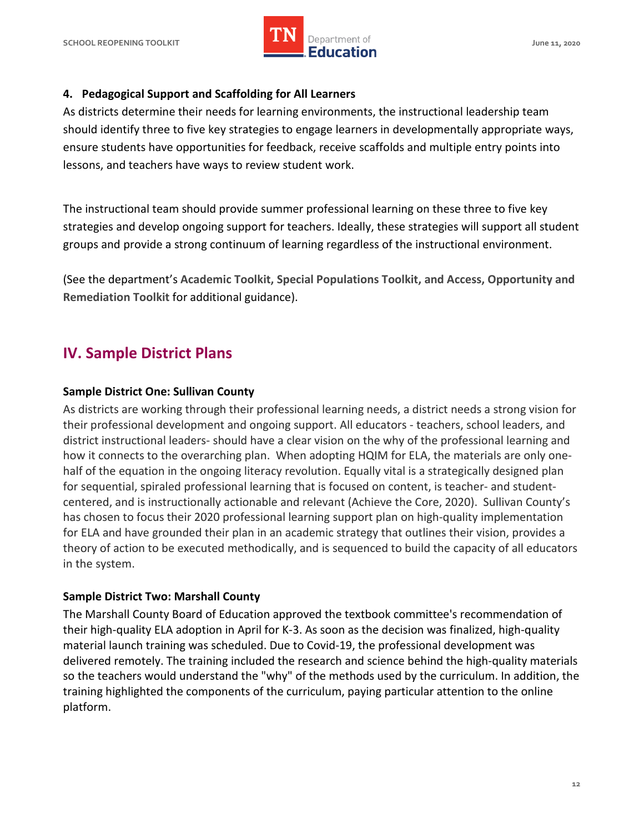

#### **4. Pedagogical Support and Scaffolding for All Learners**

 As districts determine their needs for learning environments, the instructional leadership team should identify three to five key strategies to engage learners in developmentally appropriate ways, ensure students have opportunities for feedback, receive scaffolds and multiple entry points into lessons, and teachers have ways to review student work.

 The instructional team should provide summer professional learning on these three to five key strategies and develop ongoing support for teachers. Ideally, these strategies will support all student groups and provide a strong continuum of learning regardless of the instructional environment.

 (See the department's **Academic Toolkit, Special Populations Toolkit, and Access, Opportunity and Remediation Toolkit** for additional guidance).

# **IV. Sample District Plans**

#### **Sample District One: Sullivan County**

 As districts are working through their professional learning needs, a district needs a strong vision for their professional development and ongoing support. All educators - teachers, school leaders, and how it connects to the overarching plan. When adopting HQIM for ELA, the materials are only one- centered, and is instructionally actionable and relevant (Achieve the Core, 2020). Sullivan County's district instructional leaders- should have a clear vision on the why of the professional learning and half of the equation in the ongoing literacy revolution. Equally vital is a strategically designed plan for sequential, spiraled professional learning that is focused on content, is teacher- and studenthas chosen to focus their 2020 professional learning support plan on high-quality implementation for ELA and have grounded their plan in an academic strategy that outlines their vision, provides a theory of action to be executed methodically, and is sequenced to build the capacity of all educators in the system.

#### **Sample District Two: Marshall County**

 The Marshall County Board of Education approved the textbook committee's recommendation of their high-quality ELA adoption in April for K-3. As soon as the decision was finalized, high-quality material launch training was scheduled. Due to Covid-19, the professional development was delivered remotely. The training included the research and science behind the high-quality materials so the teachers would understand the "why" of the methods used by the curriculum. In addition, the training highlighted the components of the curriculum, paying particular attention to the online platform.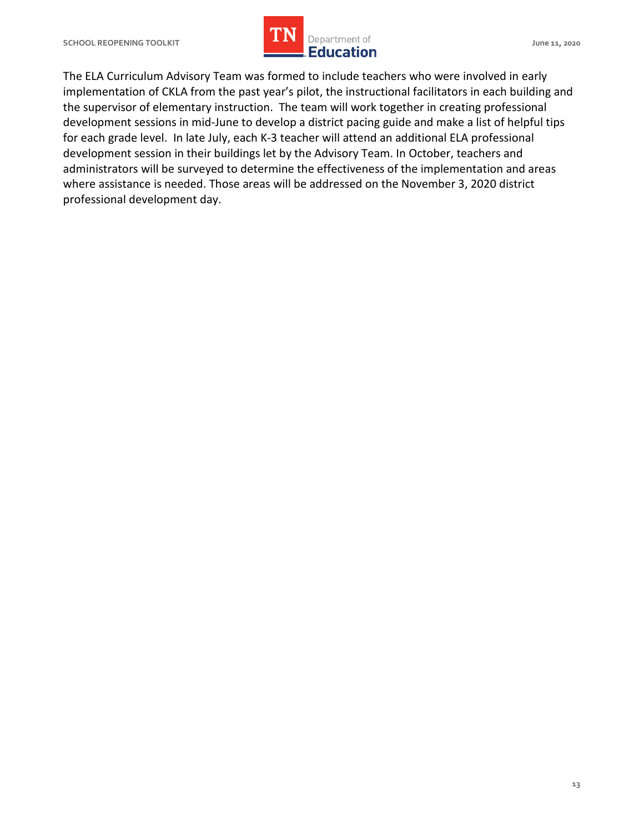

 The ELA Curriculum Advisory Team was formed to include teachers who were involved in early implementation of CKLA from the past year's pilot, the instructional facilitators in each building and the supervisor of elementary instruction. The team will work together in creating professional development sessions in mid-June to develop a district pacing guide and make a list of helpful tips for each grade level. In late July, each K-3 teacher will attend an additional ELA professional development session in their buildings let by the Advisory Team. In October, teachers and administrators will be surveyed to determine the effectiveness of the implementation and areas where assistance is needed. Those areas will be addressed on the November 3, 2020 district professional development day.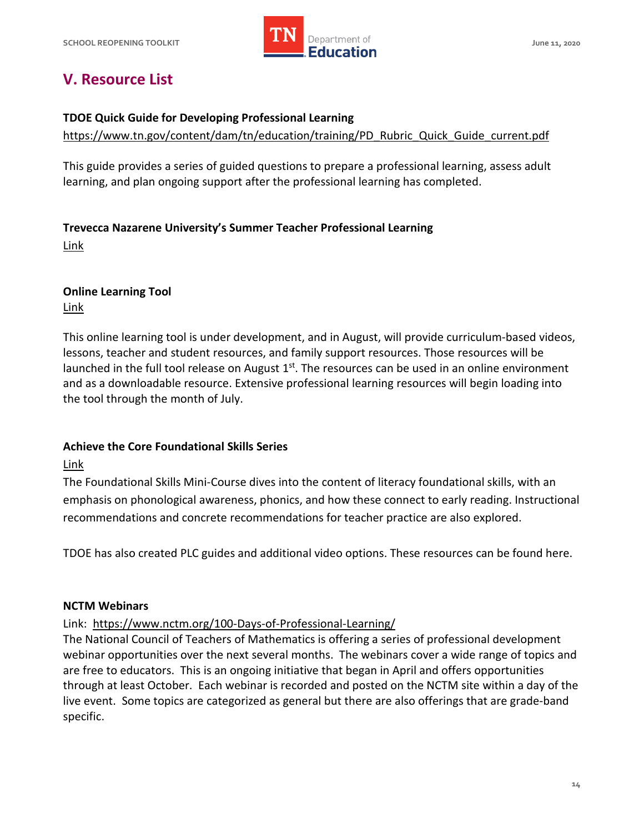

# **V. Resource List**

#### **TDOE Quick Guide for Developing Professional Learning**

[https://www.tn.gov/content/dam/tn/education/training/PD\\_Rubric\\_Quick\\_Guide\\_current.pdf](https://www.tn.gov/content/dam/tn/education/training/PD_Rubric_Quick_Guide_current.pdf) 

This guide provides a series of guided questions to prepare a professional learning, assess adult learning, and plan ongoing support after the professional learning has completed.

#### **Trevecca Nazarene University's Summer Teacher Professional Learning**

[Link](http://www.trevecca.edu/remoteinstruction.) 

#### **Online Learning Tool**

[Link](https://learninginplace.tnedu.gov/) 

 This online learning tool is under development, and in August, will provide curriculum-based videos, lessons, teacher and student resources, and family support resources. Those resources will be launched in the full tool release on August  $1<sup>st</sup>$ . The resources can be used in an online environment and as a downloadable resource. Extensive professional learning resources will begin loading into the tool through the month of July.

#### **Achieve the Core Foundational Skills Series**

Link

 The Foundational Skills Mini-Course dives into the content of literacy foundational skills, with an emphasis on phonological awareness, phonics, and how these connect to early reading. Instructional recommendations and concrete recommendations for teacher practice are also explored.

TDOE has also created PLC guides and additional video options. These resources can be found here.

#### **NCTM Webinars**

#### Link: <https://www.nctm.org/100-Days-of-Professional-Learning/>

 The National Council of Teachers of Mathematics is offering a series of professional development webinar opportunities over the next several months. The webinars cover a wide range of topics and are free to educators. This is an ongoing initiative that began in April and offers opportunities through at least October. Each webinar is recorded and posted on the NCTM site within a day of the live event. Some topics are categorized as general but there are also offerings that are grade-band specific.